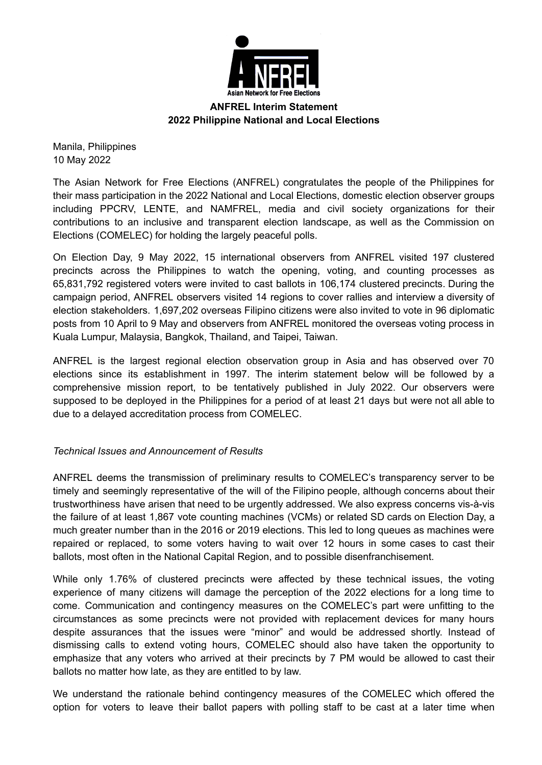

**ANFREL Interim Statement 2022 Philippine National and Local Elections**

Manila, Philippines 10 May 2022

The Asian Network for Free Elections (ANFREL) congratulates the people of the Philippines for their mass participation in the 2022 National and Local Elections, domestic election observer groups including PPCRV, LENTE, and NAMFREL, media and civil society organizations for their contributions to an inclusive and transparent election landscape, as well as the Commission on Elections (COMELEC) for holding the largely peaceful polls.

On Election Day, 9 May 2022, 15 international observers from ANFREL visited 197 clustered precincts across the Philippines to watch the opening, voting, and counting processes as 65,831,792 registered voters were invited to cast ballots in 106,174 clustered precincts. During the campaign period, ANFREL observers visited 14 regions to cover rallies and interview a diversity of election stakeholders. 1,697,202 overseas Filipino citizens were also invited to vote in 96 diplomatic posts from 10 April to 9 May and observers from ANFREL monitored the overseas voting process in Kuala Lumpur, Malaysia, Bangkok, Thailand, and Taipei, Taiwan.

ANFREL is the largest regional election observation group in Asia and has observed over 70 elections since its establishment in 1997. The interim statement below will be followed by a comprehensive mission report, to be tentatively published in July 2022. Our observers were supposed to be deployed in the Philippines for a period of at least 21 days but were not all able to due to a delayed accreditation process from COMELEC.

## *Technical Issues and Announcement of Results*

ANFREL deems the transmission of preliminary results to COMELEC's transparency server to be timely and seemingly representative of the will of the Filipino people, although concerns about their trustworthiness have arisen that need to be urgently addressed. We also express concerns vis-à-vis the failure of at least 1,867 vote counting machines (VCMs) or related SD cards on Election Day, a much greater number than in the 2016 or 2019 elections. This led to long queues as machines were repaired or replaced, to some voters having to wait over 12 hours in some cases to cast their ballots, most often in the National Capital Region, and to possible disenfranchisement.

While only 1.76% of clustered precincts were affected by these technical issues, the voting experience of many citizens will damage the perception of the 2022 elections for a long time to come. Communication and contingency measures on the COMELEC's part were unfitting to the circumstances as some precincts were not provided with replacement devices for many hours despite assurances that the issues were "minor" and would be addressed shortly. Instead of dismissing calls to extend voting hours, COMELEC should also have taken the opportunity to emphasize that any voters who arrived at their precincts by 7 PM would be allowed to cast their ballots no matter how late, as they are entitled to by law.

We understand the rationale behind contingency measures of the COMELEC which offered the option for voters to leave their ballot papers with polling staff to be cast at a later time when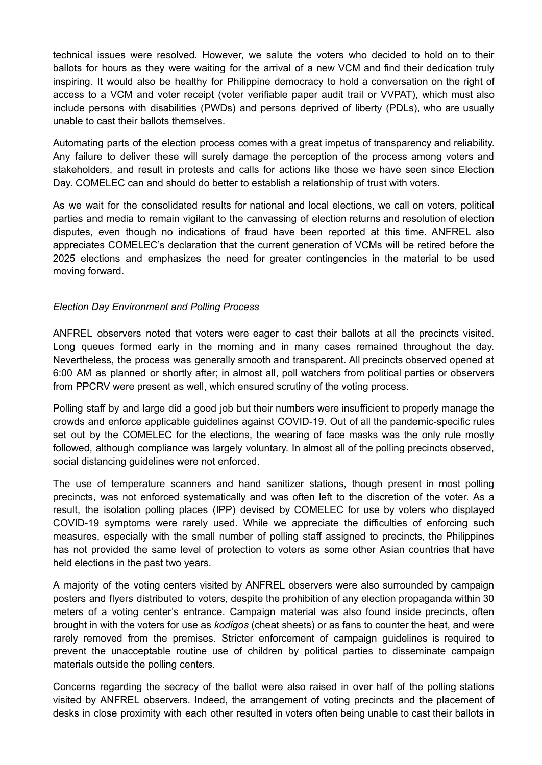technical issues were resolved. However, we salute the voters who decided to hold on to their ballots for hours as they were waiting for the arrival of a new VCM and find their dedication truly inspiring. It would also be healthy for Philippine democracy to hold a conversation on the right of access to a VCM and voter receipt (voter verifiable paper audit trail or VVPAT), which must also include persons with disabilities (PWDs) and persons deprived of liberty (PDLs), who are usually unable to cast their ballots themselves.

Automating parts of the election process comes with a great impetus of transparency and reliability. Any failure to deliver these will surely damage the perception of the process among voters and stakeholders, and result in protests and calls for actions like those we have seen since Election Day. COMELEC can and should do better to establish a relationship of trust with voters.

As we wait for the consolidated results for national and local elections, we call on voters, political parties and media to remain vigilant to the canvassing of election returns and resolution of election disputes, even though no indications of fraud have been reported at this time. ANFREL also appreciates COMELEC's declaration that the current generation of VCMs will be retired before the 2025 elections and emphasizes the need for greater contingencies in the material to be used moving forward.

## *Election Day Environment and Polling Process*

ANFREL observers noted that voters were eager to cast their ballots at all the precincts visited. Long queues formed early in the morning and in many cases remained throughout the day. Nevertheless, the process was generally smooth and transparent. All precincts observed opened at 6:00 AM as planned or shortly after; in almost all, poll watchers from political parties or observers from PPCRV were present as well, which ensured scrutiny of the voting process.

Polling staff by and large did a good job but their numbers were insufficient to properly manage the crowds and enforce applicable guidelines against COVID-19. Out of all the pandemic-specific rules set out by the COMELEC for the elections, the wearing of face masks was the only rule mostly followed, although compliance was largely voluntary. In almost all of the polling precincts observed, social distancing guidelines were not enforced.

The use of temperature scanners and hand sanitizer stations, though present in most polling precincts, was not enforced systematically and was often left to the discretion of the voter. As a result, the isolation polling places (IPP) devised by COMELEC for use by voters who displayed COVID-19 symptoms were rarely used. While we appreciate the difficulties of enforcing such measures, especially with the small number of polling staff assigned to precincts, the Philippines has not provided the same level of protection to voters as some other Asian countries that have held elections in the past two years.

A majority of the voting centers visited by ANFREL observers were also surrounded by campaign posters and flyers distributed to voters, despite the prohibition of any election propaganda within 30 meters of a voting center's entrance. Campaign material was also found inside precincts, often brought in with the voters for use as *kodigos* (cheat sheets) or as fans to counter the heat, and were rarely removed from the premises. Stricter enforcement of campaign guidelines is required to prevent the unacceptable routine use of children by political parties to disseminate campaign materials outside the polling centers.

Concerns regarding the secrecy of the ballot were also raised in over half of the polling stations visited by ANFREL observers. Indeed, the arrangement of voting precincts and the placement of desks in close proximity with each other resulted in voters often being unable to cast their ballots in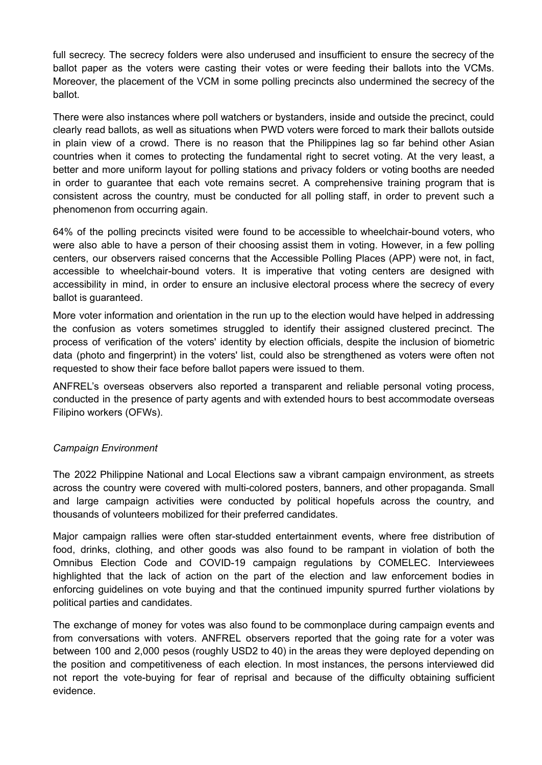full secrecy. The secrecy folders were also underused and insufficient to ensure the secrecy of the ballot paper as the voters were casting their votes or were feeding their ballots into the VCMs. Moreover, the placement of the VCM in some polling precincts also undermined the secrecy of the ballot.

There were also instances where poll watchers or bystanders, inside and outside the precinct, could clearly read ballots, as well as situations when PWD voters were forced to mark their ballots outside in plain view of a crowd. There is no reason that the Philippines lag so far behind other Asian countries when it comes to protecting the fundamental right to secret voting. At the very least, a better and more uniform layout for polling stations and privacy folders or voting booths are needed in order to guarantee that each vote remains secret. A comprehensive training program that is consistent across the country, must be conducted for all polling staff, in order to prevent such a phenomenon from occurring again.

64% of the polling precincts visited were found to be accessible to wheelchair-bound voters, who were also able to have a person of their choosing assist them in voting. However, in a few polling centers, our observers raised concerns that the Accessible Polling Places (APP) were not, in fact, accessible to wheelchair-bound voters. It is imperative that voting centers are designed with accessibility in mind, in order to ensure an inclusive electoral process where the secrecy of every ballot is guaranteed.

More voter information and orientation in the run up to the election would have helped in addressing the confusion as voters sometimes struggled to identify their assigned clustered precinct. The process of verification of the voters' identity by election officials, despite the inclusion of biometric data (photo and fingerprint) in the voters' list, could also be strengthened as voters were often not requested to show their face before ballot papers were issued to them.

ANFREL's overseas observers also reported a transparent and reliable personal voting process, conducted in the presence of party agents and with extended hours to best accommodate overseas Filipino workers (OFWs).

## *Campaign Environment*

The 2022 Philippine National and Local Elections saw a vibrant campaign environment, as streets across the country were covered with multi-colored posters, banners, and other propaganda. Small and large campaign activities were conducted by political hopefuls across the country, and thousands of volunteers mobilized for their preferred candidates.

Major campaign rallies were often star-studded entertainment events, where free distribution of food, drinks, clothing, and other goods was also found to be rampant in violation of both the Omnibus Election Code and COVID-19 campaign regulations by COMELEC. Interviewees highlighted that the lack of action on the part of the election and law enforcement bodies in enforcing guidelines on vote buying and that the continued impunity spurred further violations by political parties and candidates.

The exchange of money for votes was also found to be commonplace during campaign events and from conversations with voters. ANFREL observers reported that the going rate for a voter was between 100 and 2,000 pesos (roughly USD2 to 40) in the areas they were deployed depending on the position and competitiveness of each election. In most instances, the persons interviewed did not report the vote-buying for fear of reprisal and because of the difficulty obtaining sufficient evidence.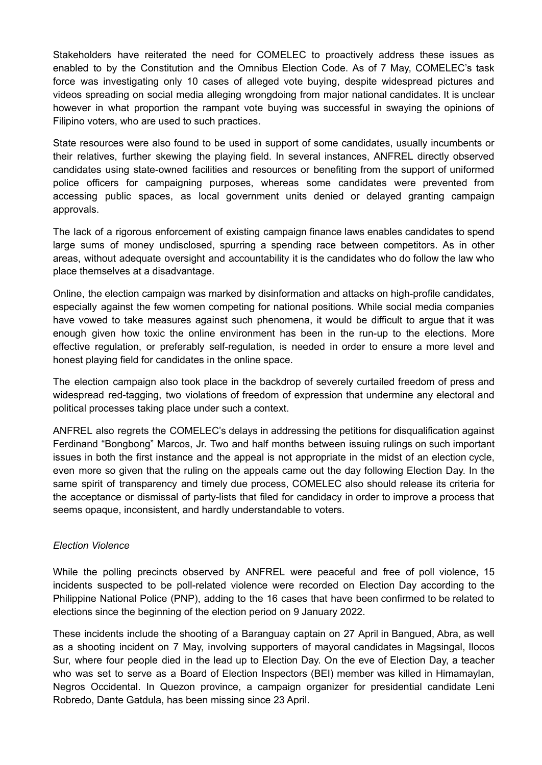Stakeholders have reiterated the need for COMELEC to proactively address these issues as enabled to by the Constitution and the Omnibus Election Code. As of 7 May, COMELEC's task force was investigating only 10 cases of alleged vote buying, despite widespread pictures and videos spreading on social media alleging wrongdoing from major national candidates. It is unclear however in what proportion the rampant vote buying was successful in swaying the opinions of Filipino voters, who are used to such practices.

State resources were also found to be used in support of some candidates, usually incumbents or their relatives, further skewing the playing field. In several instances, ANFREL directly observed candidates using state-owned facilities and resources or benefiting from the support of uniformed police officers for campaigning purposes, whereas some candidates were prevented from accessing public spaces, as local government units denied or delayed granting campaign approvals.

The lack of a rigorous enforcement of existing campaign finance laws enables candidates to spend large sums of money undisclosed, spurring a spending race between competitors. As in other areas, without adequate oversight and accountability it is the candidates who do follow the law who place themselves at a disadvantage.

Online, the election campaign was marked by disinformation and attacks on high-profile candidates, especially against the few women competing for national positions. While social media companies have vowed to take measures against such phenomena, it would be difficult to argue that it was enough given how toxic the online environment has been in the run-up to the elections. More effective regulation, or preferably self-regulation, is needed in order to ensure a more level and honest playing field for candidates in the online space.

The election campaign also took place in the backdrop of severely curtailed freedom of press and widespread red-tagging, two violations of freedom of expression that undermine any electoral and political processes taking place under such a context.

ANFREL also regrets the COMELEC's delays in addressing the petitions for disqualification against Ferdinand "Bongbong" Marcos, Jr. Two and half months between issuing rulings on such important issues in both the first instance and the appeal is not appropriate in the midst of an election cycle, even more so given that the ruling on the appeals came out the day following Election Day. In the same spirit of transparency and timely due process, COMELEC also should release its criteria for the acceptance or dismissal of party-lists that filed for candidacy in order to improve a process that seems opaque, inconsistent, and hardly understandable to voters.

## *Election Violence*

While the polling precincts observed by ANFREL were peaceful and free of poll violence, 15 incidents suspected to be poll-related violence were recorded on Election Day according to the Philippine National Police (PNP), adding to the 16 cases that have been confirmed to be related to elections since the beginning of the election period on 9 January 2022.

These incidents include the shooting of a Baranguay captain on 27 April in Bangued, Abra, as well as a shooting incident on 7 May, involving supporters of mayoral candidates in Magsingal, Ilocos Sur, where four people died in the lead up to Election Day. On the eve of Election Day, a teacher who was set to serve as a Board of Election Inspectors (BEI) member was killed in Himamaylan, Negros Occidental. In Quezon province, a campaign organizer for presidential candidate Leni Robredo, Dante Gatdula, has been missing since 23 April.